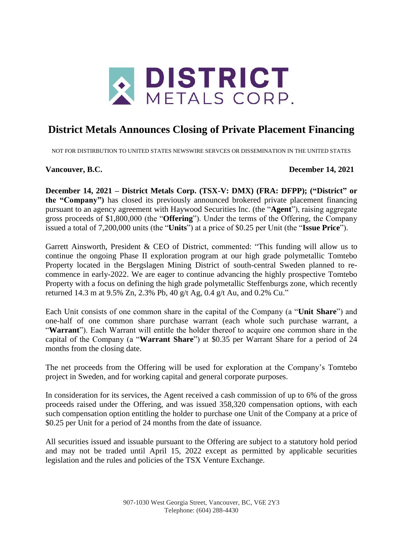

## **District Metals Announces Closing of Private Placement Financing**

NOT FOR DISTIRBUTION TO UNITED STATES NEWSWIRE SERVCES OR DISSEMINATION IN THE UNITED STATES

**Vancouver, B.C. December 14, 2021**

**December 14, 2021 – District Metals Corp. (TSX-V: DMX) (FRA: DFPP); ("District" or the "Company")** has closed its previously announced brokered private placement financing pursuant to an agency agreement with Haywood Securities Inc. (the "**Agent**"), raising aggregate gross proceeds of \$1,800,000 (the "**Offering**"). Under the terms of the Offering, the Company issued a total of 7,200,000 units (the "**Units**") at a price of \$0.25 per Unit (the "**Issue Price**").

Garrett Ainsworth, President & CEO of District, commented: "This funding will allow us to continue the ongoing Phase II exploration program at our high grade polymetallic Tomtebo Property located in the Bergslagen Mining District of south-central Sweden planned to recommence in early-2022. We are eager to continue advancing the highly prospective Tomtebo Property with a focus on defining the high grade polymetallic Steffenburgs zone, which recently returned 14.3 m at 9.5% Zn, 2.3% Pb, 40 g/t Ag, 0.4 g/t Au, and 0.2% Cu."

Each Unit consists of one common share in the capital of the Company (a "**Unit Share**") and one-half of one common share purchase warrant (each whole such purchase warrant, a "**Warrant**"). Each Warrant will entitle the holder thereof to acquire one common share in the capital of the Company (a "**Warrant Share**") at \$0.35 per Warrant Share for a period of 24 months from the closing date.

The net proceeds from the Offering will be used for exploration at the Company's Tomtebo project in Sweden, and for working capital and general corporate purposes.

In consideration for its services, the Agent received a cash commission of up to 6% of the gross proceeds raised under the Offering, and was issued 358,320 compensation options, with each such compensation option entitling the holder to purchase one Unit of the Company at a price of \$0.25 per Unit for a period of 24 months from the date of issuance.

All securities issued and issuable pursuant to the Offering are subject to a statutory hold period and may not be traded until April 15, 2022 except as permitted by applicable securities legislation and the rules and policies of the TSX Venture Exchange.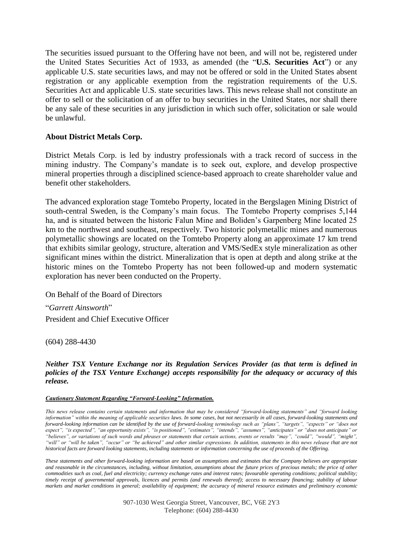The securities issued pursuant to the Offering have not been, and will not be, registered under the United States Securities Act of 1933, as amended (the "**U.S. Securities Act**") or any applicable U.S. state securities laws, and may not be offered or sold in the United States absent registration or any applicable exemption from the registration requirements of the U.S. Securities Act and applicable U.S. state securities laws. This news release shall not constitute an offer to sell or the solicitation of an offer to buy securities in the United States, nor shall there be any sale of these securities in any jurisdiction in which such offer, solicitation or sale would be unlawful.

## **About District Metals Corp.**

District Metals Corp. is led by industry professionals with a track record of success in the mining industry. The Company's mandate is to seek out, explore, and develop prospective mineral properties through a disciplined science-based approach to create shareholder value and benefit other stakeholders.

The advanced exploration stage Tomtebo Property, located in the Bergslagen Mining District of south-central Sweden, is the Company's main focus. The Tomtebo Property comprises 5,144 ha, and is situated between the historic Falun Mine and Boliden's Garpenberg Mine located 25 km to the northwest and southeast, respectively. Two historic polymetallic mines and numerous polymetallic showings are located on the Tomtebo Property along an approximate 17 km trend that exhibits similar geology, structure, alteration and VMS/SedEx style mineralization as other significant mines within the district. Mineralization that is open at depth and along strike at the historic mines on the Tomtebo Property has not been followed-up and modern systematic exploration has never been conducted on the Property.

On Behalf of the Board of Directors

"*Garrett Ainsworth*" President and Chief Executive Officer

(604) 288-4430

*Neither TSX Venture Exchange nor its Regulation Services Provider (as that term is defined in policies of the TSX Venture Exchange) accepts responsibility for the adequacy or accuracy of this release.*

## *Cautionary Statement Regarding "Forward-Looking" Information.*

*This news release contains certain statements and information that may be considered "forward-looking statements" and "forward looking information" within the meaning of applicable securities laws. In some cases, but not necessarily in all cases, forward-looking statements and forward-looking information can be identified by the use of forward-looking terminology such as "plans", "targets", "expects" or "does not expect", "is expected", "an opportunity exists", "is positioned", "estimates", "intends", "assumes", "anticipates" or "does not anticipate" or "believes", or variations of such words and phrases or statements that certain actions, events or results "may", "could", "would", "might", "will" or "will be taken", "occur" or "be achieved" and other similar expressions. In addition, statements in this news release that are not historical facts are forward looking statements, including statements or information concerning the use of proceeds of the Offering.*

*These statements and other forward-looking information are based on assumptions and estimates that the Company believes are appropriate*  and reasonable in the circumstances, including, without limitation, assumptions about the future prices of precious metals; the price of other *commodities such as coal, fuel and electricity; currency exchange rates and interest rates; favourable operating conditions; political stability; timely receipt of governmental approvals, licences and permits (and renewals thereof); access to necessary financing; stability of labour markets and market conditions in general; availability of equipment; the accuracy of mineral resource estimates and preliminary economic*